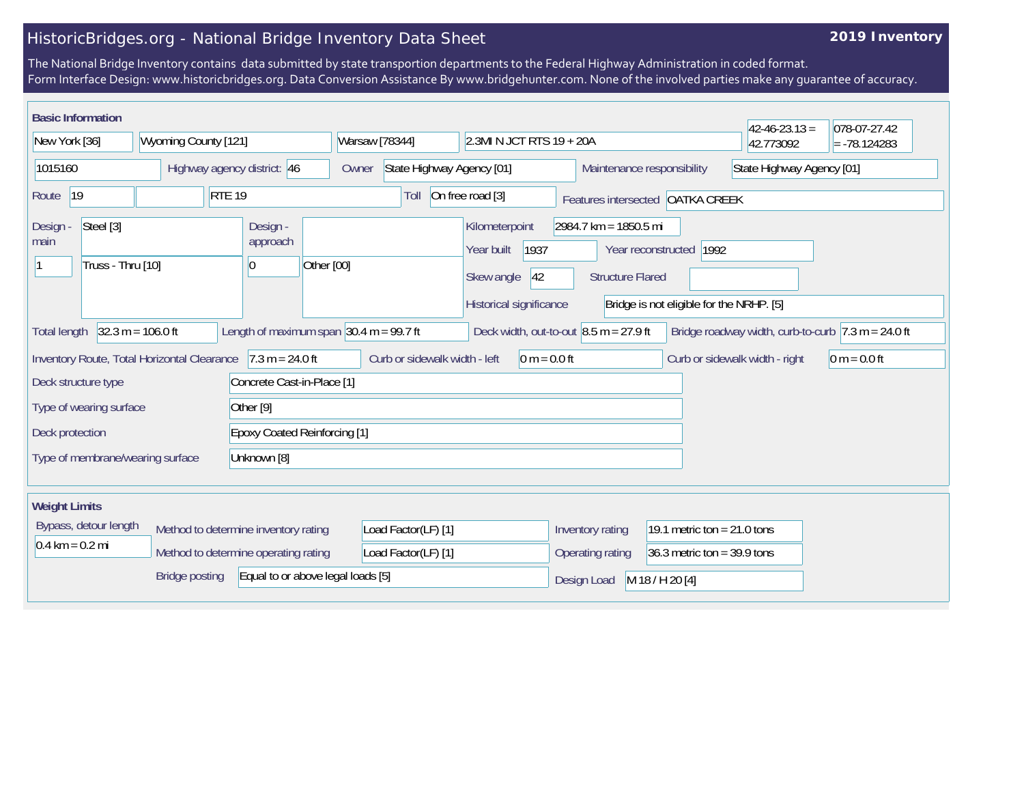## HistoricBridges.org - National Bridge Inventory Data Sheet

## **2019 Inventory**

The National Bridge Inventory contains data submitted by state transportion departments to the Federal Highway Administration in coded format. Form Interface Design: www.historicbridges.org. Data Conversion Assistance By www.bridgehunter.com. None of the involved parties make any guarantee of accuracy.

|                                                                                                                                                                                                                               | <b>Basic Information</b><br>$42 - 46 - 23.13 =$<br>078-07-27.42 |                             |                                      |                                                                                       |                                                   |                                                                     |                                                         |                                |                |
|-------------------------------------------------------------------------------------------------------------------------------------------------------------------------------------------------------------------------------|-----------------------------------------------------------------|-----------------------------|--------------------------------------|---------------------------------------------------------------------------------------|---------------------------------------------------|---------------------------------------------------------------------|---------------------------------------------------------|--------------------------------|----------------|
| New York [36]                                                                                                                                                                                                                 |                                                                 | Wyoming County [121]        |                                      | Warsaw [78344]<br>2.3MI N JCT RTS 19 + 20A                                            |                                                   |                                                                     |                                                         | 42.773092                      | $= -78.124283$ |
| 1015160                                                                                                                                                                                                                       |                                                                 | Highway agency district: 46 |                                      | State Highway Agency [01]<br>Owner                                                    |                                                   |                                                                     | State Highway Agency [01]<br>Maintenance responsibility |                                |                |
| 19<br><b>RTE 19</b><br>Route                                                                                                                                                                                                  |                                                                 |                             | Toll                                 | On free road [3]                                                                      |                                                   | Features intersected OATKA CREEK                                    |                                                         |                                |                |
| Steel [3]<br>Design -<br>Design -<br>main<br>approach<br>Truss - Thru [10]<br>Other [00]<br>$ 0\rangle$                                                                                                                       |                                                                 |                             |                                      | Kilometerpoint<br>1937<br>Year built<br> 42 <br>Skew angle<br>Historical significance | 2984.7 km = 1850.5 mi<br><b>Structure Flared</b>  | Year reconstructed 1992<br>Bridge is not eligible for the NRHP. [5] |                                                         |                                |                |
| $32.3 m = 106.0 ft$<br>Length of maximum span $ 30.4 \text{ m} = 99.7 \text{ ft} $<br>Deck width, out-to-out $8.5$ m = 27.9 ft<br>Bridge roadway width, curb-to-curb $7.3 \text{ m} = 24.0 \text{ ft}$<br><b>Total length</b> |                                                                 |                             |                                      |                                                                                       |                                                   |                                                                     |                                                         |                                |                |
| $7.3 m = 24.0 ft$<br>Inventory Route, Total Horizontal Clearance                                                                                                                                                              |                                                                 |                             |                                      | Curb or sidewalk width - left                                                         | $0 m = 0.0 ft$                                    |                                                                     |                                                         | Curb or sidewalk width - right | $0 m = 0.0 ft$ |
| Concrete Cast-in-Place [1]<br>Deck structure type                                                                                                                                                                             |                                                                 |                             |                                      |                                                                                       |                                                   |                                                                     |                                                         |                                |                |
| Other <sup>[9]</sup><br>Type of wearing surface                                                                                                                                                                               |                                                                 |                             |                                      |                                                                                       |                                                   |                                                                     |                                                         |                                |                |
| Deck protection                                                                                                                                                                                                               |                                                                 |                             | <b>Epoxy Coated Reinforcing [1]</b>  |                                                                                       |                                                   |                                                                     |                                                         |                                |                |
| Type of membrane/wearing surface<br>Unknown [8]                                                                                                                                                                               |                                                                 |                             |                                      |                                                                                       |                                                   |                                                                     |                                                         |                                |                |
| <b>Weight Limits</b>                                                                                                                                                                                                          |                                                                 |                             |                                      |                                                                                       |                                                   |                                                                     |                                                         |                                |                |
| Bypass, detour length                                                                                                                                                                                                         |                                                                 |                             | Method to determine inventory rating | Load Factor(LF) [1]                                                                   |                                                   | Inventory rating<br>19.1 metric ton = $21.0$ tons                   |                                                         |                                |                |
| $0.4 \text{ km} = 0.2 \text{ mi}$<br>Method to determine operating rating                                                                                                                                                     |                                                                 |                             | Load Factor(LF) [1]                  |                                                                                       | Operating rating<br>36.3 metric ton = $39.9$ tons |                                                                     |                                                         |                                |                |
| Equal to or above legal loads [5]<br><b>Bridge posting</b>                                                                                                                                                                    |                                                                 |                             |                                      |                                                                                       | Design Load                                       | M 18 / H 20 [4]                                                     |                                                         |                                |                |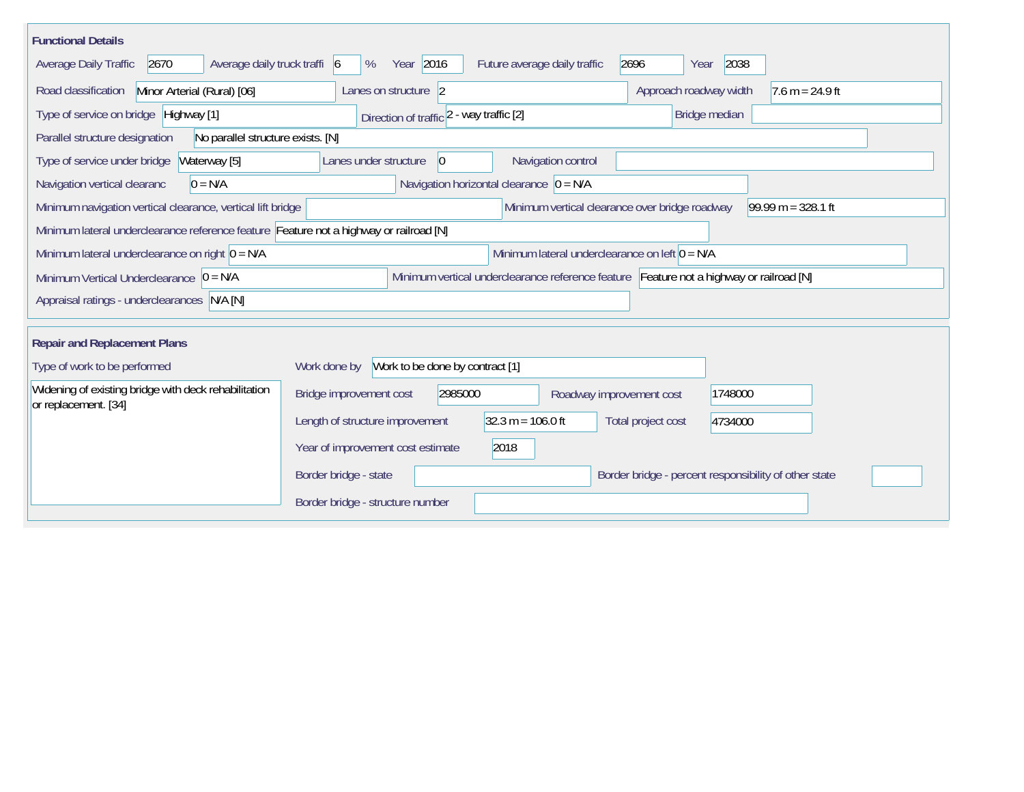| <b>Functional Details</b>                                                                                                             |                                          |                                                |                                                       |                      |  |  |  |
|---------------------------------------------------------------------------------------------------------------------------------------|------------------------------------------|------------------------------------------------|-------------------------------------------------------|----------------------|--|--|--|
| 2670<br>Average daily truck traffi 6<br>Average Daily Traffic                                                                         | Year 2016<br>%                           | Future average daily traffic                   | 2038<br>2696<br>Year                                  |                      |  |  |  |
| Minor Arterial (Rural) [06]<br>Road classification                                                                                    | Lanes on structure 2                     |                                                | Approach roadway width<br>$7.6 m = 24.9 ft$           |                      |  |  |  |
| Type of service on bridge Highway [1]                                                                                                 | Direction of traffic 2 - way traffic [2] |                                                | Bridge median                                         |                      |  |  |  |
| Parallel structure designation<br>No parallel structure exists. [N]                                                                   |                                          |                                                |                                                       |                      |  |  |  |
| Waterway [5]<br>Type of service under bridge                                                                                          | Lanes under structure<br>$\vert 0 \vert$ | Navigation control                             |                                                       |                      |  |  |  |
| $0 = N/A$<br>Navigation vertical clearanc                                                                                             |                                          | Navigation horizontal clearance $ 0 = N/A $    |                                                       |                      |  |  |  |
| Minimum navigation vertical clearance, vertical lift bridge                                                                           |                                          | Minimum vertical clearance over bridge roadway |                                                       | $99.99 m = 328.1 ft$ |  |  |  |
| Minimum lateral underclearance reference feature Feature not a highway or railroad [N]                                                |                                          |                                                |                                                       |                      |  |  |  |
| Minimum lateral underclearance on left $0 = N/A$<br>Minimum lateral underclearance on right $0 = N/A$                                 |                                          |                                                |                                                       |                      |  |  |  |
| Minimum vertical underclearance reference feature Feature not a highway or railroad [N]<br>Minimum Vertical Underclearance $ 0 = N/A$ |                                          |                                                |                                                       |                      |  |  |  |
| Appraisal ratings - underclearances N/A [N]                                                                                           |                                          |                                                |                                                       |                      |  |  |  |
|                                                                                                                                       |                                          |                                                |                                                       |                      |  |  |  |
| <b>Repair and Replacement Plans</b>                                                                                                   |                                          |                                                |                                                       |                      |  |  |  |
| Work to be done by contract [1]<br>Type of work to be performed<br>Work done by                                                       |                                          |                                                |                                                       |                      |  |  |  |
| Widening of existing bridge with deck rehabilitation<br>or replacement. [34]                                                          | Bridge improvement cost<br>2985000       | Roadway improvement cost                       | 1748000                                               |                      |  |  |  |
|                                                                                                                                       | Length of structure improvement          | $32.3 m = 106.0 ft$                            | Total project cost<br>4734000                         |                      |  |  |  |
|                                                                                                                                       | Year of improvement cost estimate        | 2018                                           |                                                       |                      |  |  |  |
|                                                                                                                                       | Border bridge - state                    |                                                | Border bridge - percent responsibility of other state |                      |  |  |  |
|                                                                                                                                       | Border bridge - structure number         |                                                |                                                       |                      |  |  |  |